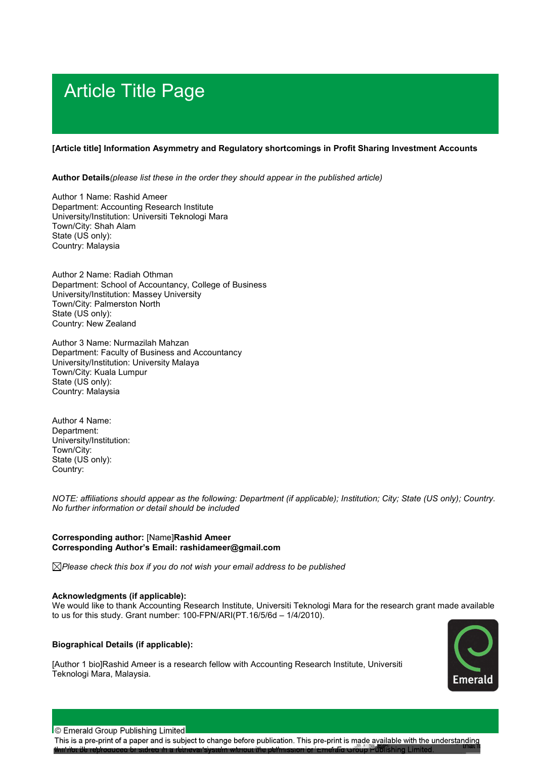# Article Title Page

# **[Article title] Information Asymmetry and Regulatory shortcomings in Profit Sharing Investment Accounts**

**Author Details***(please list these in the order they should appear in the published article)*

Author 1 Name: Rashid Ameer Department: Accounting Research Institute University/Institution: Universiti Teknologi Mara Town/City: Shah Alam State (US only): Country: Malaysia

Author 2 Name: Radiah Othman Department: School of Accountancy, College of Business University/Institution: Massey University Town/City: Palmerston North State (US only): Country: New Zealand

Author 3 Name: Nurmazilah Mahzan Department: Faculty of Business and Accountancy University/Institution: University Malaya Town/City: Kuala Lumpur State (US only): Country: Malaysia

Author 4 Name: Department: University/Institution: Town/City: State (US only): Country:

*NOTE: affiliations should appear as the following: Department (if applicable); Institution; City; State (US only); Country. No further information or detail should be included*

#### **Corresponding author:** [Name]**Rashid Ameer Corresponding Author's Email: rashidameer@gmail.com**

*Please check this box if you do not wish your email address to be published* 

#### **Acknowledgments (if applicable):**

We would like to thank Accounting Research Institute, Universiti Teknologi Mara for the research grant made available to us for this study. Grant number: 100-FPN/ARI(PT.16/5/6d – 1/4/2010).

#### **Biographical Details (if applicable):**

[Author 1 bio]Rashid Ameer is a research fellow with Accounting Research Institute, Universiti Teknologi Mara, Malaysia.



**C** Emerald Group Publishing Limited

This is a pre-print of a paper and is subject to change before publication. This pre-print is made available with the understanding win'nor de reproduced or sidred in a remevar system without the permission or Emeraid Group Publishing Limited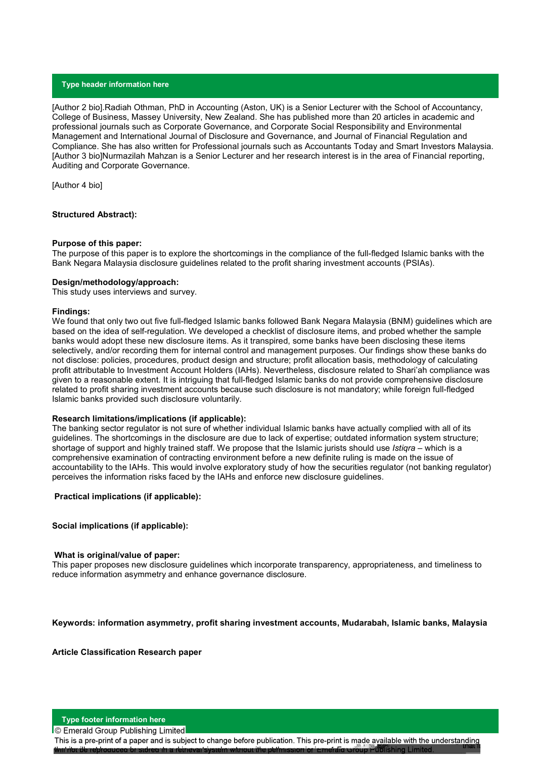#### **Type header information here**

[Author 2 bio].Radiah Othman, PhD in Accounting (Aston, UK) is a Senior Lecturer with the School of Accountancy, College of Business, Massey University, New Zealand. She has published more than 20 articles in academic and professional journals such as Corporate Governance, and Corporate Social Responsibility and Environmental Management and International Journal of Disclosure and Governance, and Journal of Financial Regulation and Compliance. She has also written for Professional journals such as Accountants Today and Smart Investors Malaysia. [Author 3 bio]Nurmazilah Mahzan is a Senior Lecturer and her research interest is in the area of Financial reporting, Auditing and Corporate Governance.

[Author 4 bio]

#### **Structured Abstract):**

#### **Purpose of this paper:**

The purpose of this paper is to explore the shortcomings in the compliance of the full-fledged Islamic banks with the Bank Negara Malaysia disclosure guidelines related to the profit sharing investment accounts (PSIAs).

#### **Design/methodology/approach:**

This study uses interviews and survey.

#### **Findings:**

We found that only two out five full-fledged Islamic banks followed Bank Negara Malaysia (BNM) guidelines which are based on the idea of self-regulation. We developed a checklist of disclosure items, and probed whether the sample banks would adopt these new disclosure items. As it transpired, some banks have been disclosing these items selectively, and/or recording them for internal control and management purposes. Our findings show these banks do not disclose: policies, procedures, product design and structure; profit allocation basis, methodology of calculating profit attributable to Investment Account Holders (IAHs). Nevertheless, disclosure related to Shari'ah compliance was given to a reasonable extent. It is intriguing that full-fledged Islamic banks do not provide comprehensive disclosure related to profit sharing investment accounts because such disclosure is not mandatory; while foreign full-fledged Islamic banks provided such disclosure voluntarily.

#### **Research limitations/implications (if applicable):**

The banking sector regulator is not sure of whether individual Islamic banks have actually complied with all of its guidelines. The shortcomings in the disclosure are due to lack of expertise; outdated information system structure; shortage of support and highly trained staff. We propose that the Islamic jurists should use *Istiqra* – which is a comprehensive examination of contracting environment before a new definite ruling is made on the issue of accountability to the IAHs. This would involve exploratory study of how the securities regulator (not banking regulator) perceives the information risks faced by the IAHs and enforce new disclosure guidelines.

#### **Practical implications (if applicable):**

#### **Social implications (if applicable):**

#### **What is original/value of paper:**

This paper proposes new disclosure guidelines which incorporate transparency, appropriateness, and timeliness to reduce information asymmetry and enhance governance disclosure.

#### **Keywords: information asymmetry, profit sharing investment accounts, Mudarabah, Islamic banks, Malaysia**

#### **Article Classification Research paper**

#### **Type footer information here**

**C** Emerald Group Publishing Limited

This is a pre-print of a paper and is subject to change before publication. This pre-print is made available with the understanding win'nor de reproduced or sidred in a remevar system without the permission or Emeraid Group Publishing Limited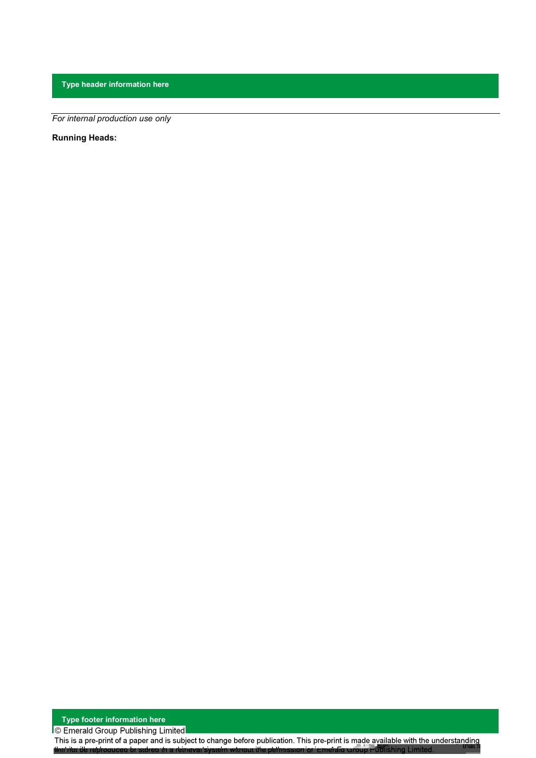**Type header information here** 

*For internal production use only* 

**Running Heads:** 

**Type footer information here** 

**C** Emerald Group Publishing Limited

This is a pre-print of a paper and is subject to change before publication. This pre-print is made available with the understanding<br>Wut not de reproduced brisidred in a retrieval system without the permission or Emerald Gr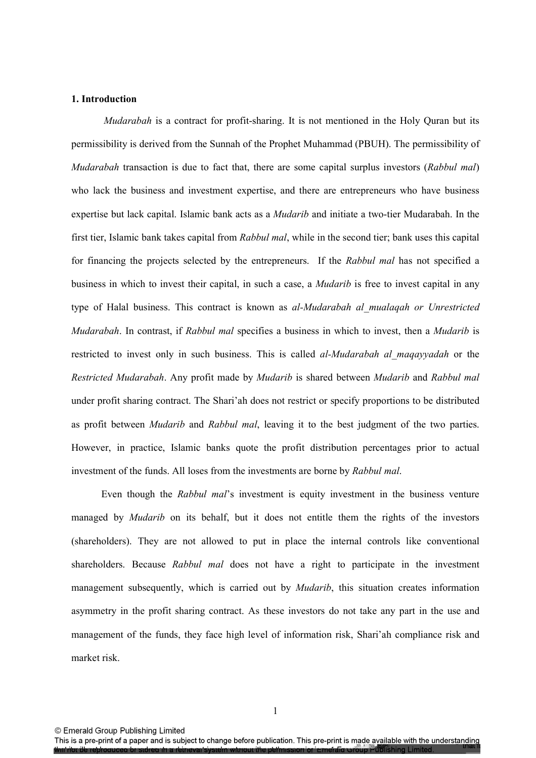# **1. Introduction**

*Mudarabah* is a contract for profit-sharing. It is not mentioned in the Holy Quran but its permissibility is derived from the Sunnah of the Prophet Muhammad (PBUH). The permissibility of *Mudarabah* transaction is due to fact that, there are some capital surplus investors (*Rabbul mal*) who lack the business and investment expertise, and there are entrepreneurs who have business expertise but lack capital. Islamic bank acts as a *Mudarib* and initiate a two-tier Mudarabah. In the first tier, Islamic bank takes capital from *Rabbul mal*, while in the second tier; bank uses this capital for financing the projects selected by the entrepreneurs. If the *Rabbul mal* has not specified a business in which to invest their capital, in such a case, a *Mudarib* is free to invest capital in any type of Halal business. This contract is known as *al-Mudarabah al\_mualaqah or Unrestricted Mudarabah*. In contrast, if *Rabbul mal* specifies a business in which to invest, then a *Mudarib* is restricted to invest only in such business. This is called *al-Mudarabah al\_maqayyadah* or the *Restricted Mudarabah*. Any profit made by *Mudarib* is shared between *Mudarib* and *Rabbul mal*  under profit sharing contract. The Shari'ah does not restrict or specify proportions to be distributed as profit between *Mudarib* and *Rabbul mal*, leaving it to the best judgment of the two parties. However, in practice, Islamic banks quote the profit distribution percentages prior to actual investment of the funds. All loses from the investments are borne by *Rabbul mal*.

Even though the *Rabbul mal*'s investment is equity investment in the business venture managed by *Mudarib* on its behalf, but it does not entitle them the rights of the investors (shareholders). They are not allowed to put in place the internal controls like conventional shareholders. Because *Rabbul mal* does not have a right to participate in the investment management subsequently, which is carried out by *Mudarib*, this situation creates information asymmetry in the profit sharing contract. As these investors do not take any part in the use and management of the funds, they face high level of information risk, Shari'ah compliance risk and market risk.

© Emerald Group Publishing Limited

This is a pre-print of a paper and is subject to change before publication. This pre-print is made available with the understanding wasan mwana muundi wa mali musisi m mishing Limited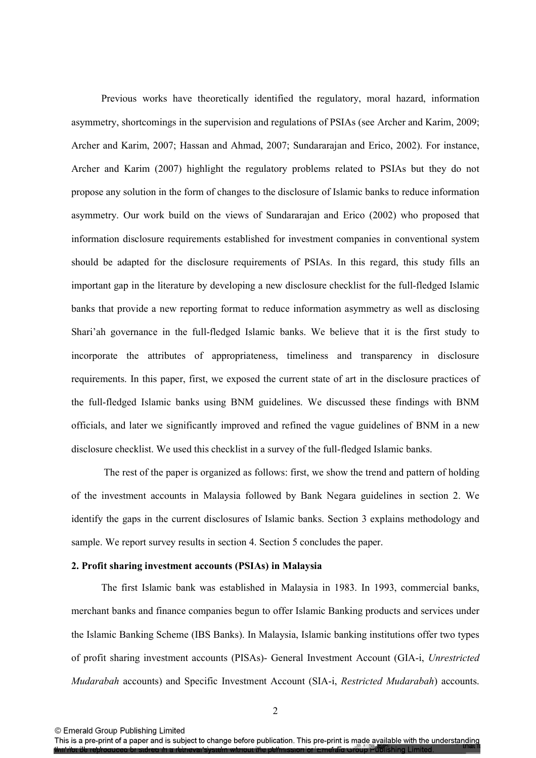Previous works have theoretically identified the regulatory, moral hazard, information asymmetry, shortcomings in the supervision and regulations of PSIAs (see Archer and Karim, 2009; Archer and Karim, 2007; Hassan and Ahmad, 2007; Sundararajan and Erico, 2002). For instance, Archer and Karim (2007) highlight the regulatory problems related to PSIAs but they do not propose any solution in the form of changes to the disclosure of Islamic banks to reduce information asymmetry. Our work build on the views of Sundararajan and Erico (2002) who proposed that information disclosure requirements established for investment companies in conventional system should be adapted for the disclosure requirements of PSIAs. In this regard, this study fills an important gap in the literature by developing a new disclosure checklist for the full-fledged Islamic banks that provide a new reporting format to reduce information asymmetry as well as disclosing Shari'ah governance in the full-fledged Islamic banks. We believe that it is the first study to incorporate the attributes of appropriateness, timeliness and transparency in disclosure requirements. In this paper, first, we exposed the current state of art in the disclosure practices of the full-fledged Islamic banks using BNM guidelines. We discussed these findings with BNM officials, and later we significantly improved and refined the vague guidelines of BNM in a new disclosure checklist. We used this checklist in a survey of the full-fledged Islamic banks.

 The rest of the paper is organized as follows: first, we show the trend and pattern of holding of the investment accounts in Malaysia followed by Bank Negara guidelines in section 2. We identify the gaps in the current disclosures of Islamic banks. Section 3 explains methodology and sample. We report survey results in section 4. Section 5 concludes the paper.

# **2. Profit sharing investment accounts (PSIAs) in Malaysia**

The first Islamic bank was established in Malaysia in 1983. In 1993, commercial banks, merchant banks and finance companies begun to offer Islamic Banking products and services under the Islamic Banking Scheme (IBS Banks). In Malaysia, Islamic banking institutions offer two types of profit sharing investment accounts (PISAs)- General Investment Account (GIA-i, *Unrestricted Mudarabah* accounts) and Specific Investment Account (SIA-i, *Restricted Mudarabah*) accounts.

© Emerald Group Publishing Limited

This is a pre-print of a paper and is subject to change before publication. This pre-print is made available with the understanding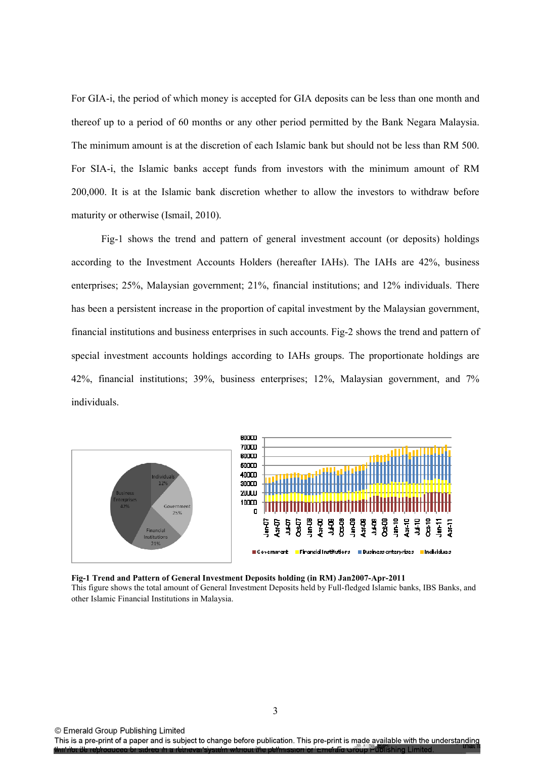For GIA-i, the period of which money is accepted for GIA deposits can be less than one month and thereof up to a period of 60 months or any other period permitted by the Bank Negara Malaysia. The minimum amount is at the discretion of each Islamic bank but should not be less than RM 500. For SIA-i, the Islamic banks accept funds from investors with the minimum amount of RM 200,000. It is at the Islamic bank discretion whether to allow the investors to withdraw before maturity or otherwise (Ismail, 2010).

Fig-1 shows the trend and pattern of general investment account (or deposits) holdings according to the Investment Accounts Holders (hereafter IAHs). The IAHs are 42%, business enterprises; 25%, Malaysian government; 21%, financial institutions; and 12% individuals. There has been a persistent increase in the proportion of capital investment by the Malaysian government, financial institutions and business enterprises in such accounts. Fig-2 shows the trend and pattern of special investment accounts holdings according to IAHs groups. The proportionate holdings are 42%, financial institutions; 39%, business enterprises; 12%, Malaysian government, and 7% individuals.



**Fig-1 Trend and Pattern of General Investment Deposits holding (in RM) Jan2007-Apr-2011** 

This figure shows the total amount of General Investment Deposits held by Full-fledged Islamic banks, IBS Banks, and other Islamic Financial Institutions in Malaysia.

© Emerald Group Publishing Limited

This is a pre-print of a paper and is subject to change before publication. This pre-print is made available with the understanding minor de reproaucea wasan wanna minisi ne mana w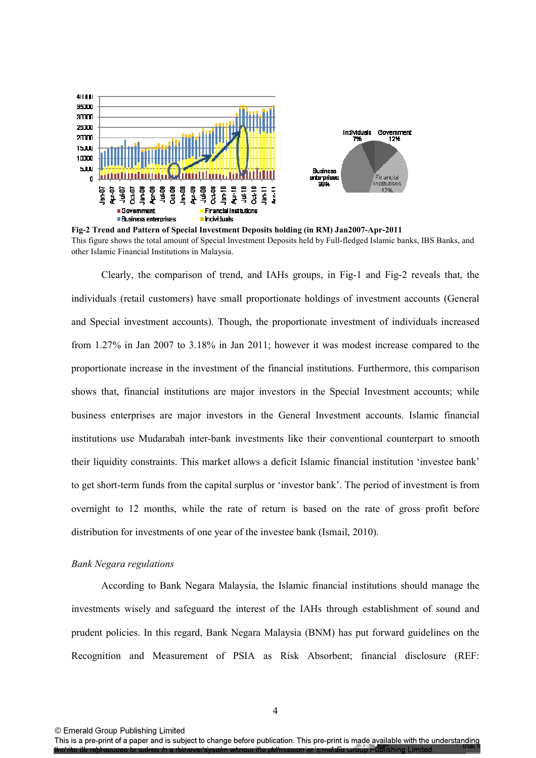

**Fig-2 Trend and Pattern of Special Investment Deposits holding (in RM) Jan2007-Apr-2011**  This figure shows the total amount of Special Investment Deposits held by Full-fledged Islamic banks, IBS Banks, and other Islamic Financial Institutions in Malaysia.

Clearly, the comparison of trend, and IAHs groups, in Fig-1 and Fig-2 reveals that, the individuals (retail customers) have small proportionate holdings of investment accounts (General and Special investment accounts). Though, the proportionate investment of individuals increased from 1.27% in Jan 2007 to 3.18% in Jan 2011; however it was modest increase compared to the proportionate increase in the investment of the financial institutions. Furthermore, this comparison shows that, financial institutions are major investors in the Special Investment accounts; while business enterprises are major investors in the General Investment accounts. Islamic financial institutions use Mudarabah inter-bank investments like their conventional counterpart to smooth their liquidity constraints. This market allows a deficit Islamic financial institution 'investee bank' to get short-term funds from the capital surplus or 'investor bank'. The period of investment is from overnight to 12 months, while the rate of return is based on the rate of gross profit before distribution for investments of one year of the investee bank (Ismail, 2010).

#### *Bank Negara regulations*

According to Bank Negara Malaysia, the Islamic financial institutions should manage the investments wisely and safeguard the interest of the IAHs through establishment of sound and prudent policies. In this regard, Bank Negara Malaysia (BNM) has put forward guidelines on the Recognition and Measurement of PSIA as Risk Absorbent; financial disclosure (REF:

This is a pre-print of a paper and is subject to change before publication. This pre-print is made available with the understanding ald Group Publishing Limited Willinor de reproqueea or storea remevansystem windurme permission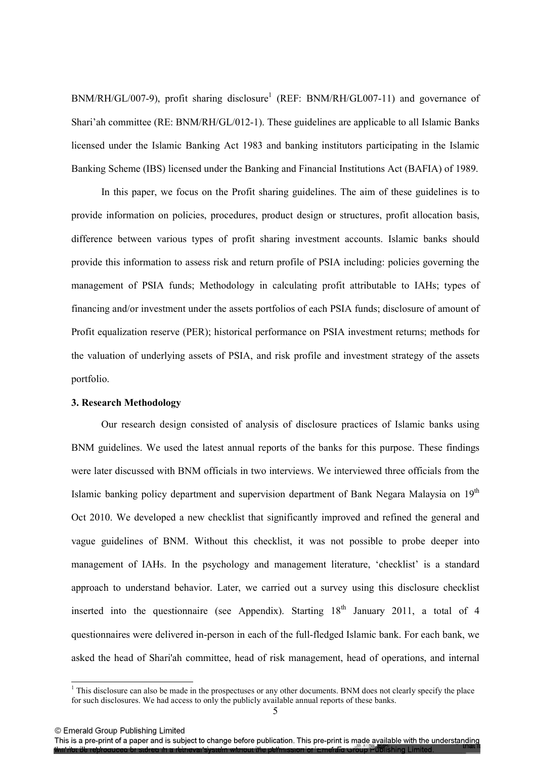BNM/RH/GL/007-9), profit sharing disclosure<sup>1</sup> (REF: BNM/RH/GL007-11) and governance of Shari'ah committee (RE: BNM/RH/GL/012-1). These guidelines are applicable to all Islamic Banks licensed under the Islamic Banking Act 1983 and banking institutors participating in the Islamic Banking Scheme (IBS) licensed under the Banking and Financial Institutions Act (BAFIA) of 1989.

In this paper, we focus on the Profit sharing guidelines. The aim of these guidelines is to provide information on policies, procedures, product design or structures, profit allocation basis, difference between various types of profit sharing investment accounts. Islamic banks should provide this information to assess risk and return profile of PSIA including: policies governing the management of PSIA funds; Methodology in calculating profit attributable to IAHs; types of financing and/or investment under the assets portfolios of each PSIA funds; disclosure of amount of Profit equalization reserve (PER); historical performance on PSIA investment returns; methods for the valuation of underlying assets of PSIA, and risk profile and investment strategy of the assets portfolio.

# **3. Research Methodology**

Our research design consisted of analysis of disclosure practices of Islamic banks using BNM guidelines. We used the latest annual reports of the banks for this purpose. These findings were later discussed with BNM officials in two interviews. We interviewed three officials from the Islamic banking policy department and supervision department of Bank Negara Malaysia on  $19<sup>th</sup>$ Oct 2010. We developed a new checklist that significantly improved and refined the general and vague guidelines of BNM. Without this checklist, it was not possible to probe deeper into management of IAHs. In the psychology and management literature, 'checklist' is a standard approach to understand behavior. Later, we carried out a survey using this disclosure checklist inserted into the questionnaire (see Appendix). Starting  $18<sup>th</sup>$  January 2011, a total of 4 questionnaires were delivered in-person in each of the full-fledged Islamic bank. For each bank, we asked the head of Shari'ah committee, head of risk management, head of operations, and internal

 $\overline{a}$ 

This is a pre-print of a paper and is subject to change before publication. This pre-print is made available with the understanding nimor de reproque remevarisystem winnut the permission or emer aid Group Publishing Limited

 $1$ <sup>1</sup> This disclosure can also be made in the prospectuses or any other documents. BNM does not clearly specify the place for such disclosures. We had access to only the publicly available annual reports of these banks.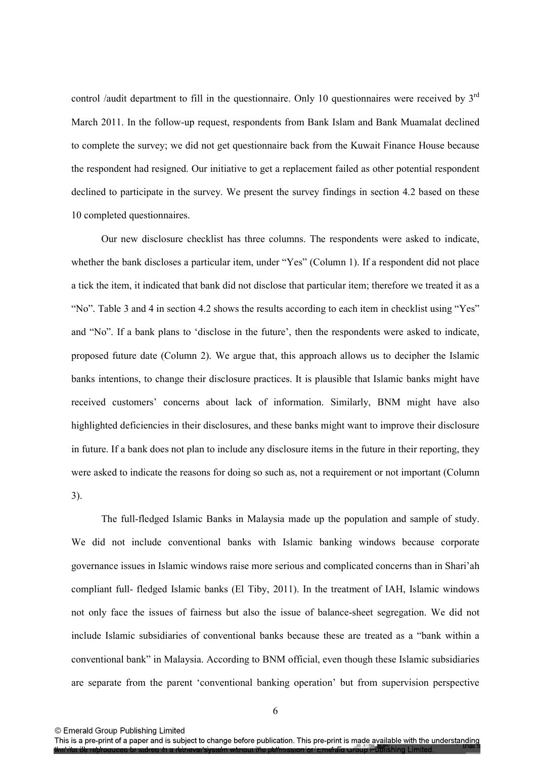control /audit department to fill in the questionnaire. Only 10 questionnaires were received by  $3<sup>rd</sup>$ March 2011. In the follow-up request, respondents from Bank Islam and Bank Muamalat declined to complete the survey; we did not get questionnaire back from the Kuwait Finance House because the respondent had resigned. Our initiative to get a replacement failed as other potential respondent declined to participate in the survey. We present the survey findings in section 4.2 based on these 10 completed questionnaires.

Our new disclosure checklist has three columns. The respondents were asked to indicate, whether the bank discloses a particular item, under "Yes" (Column 1). If a respondent did not place a tick the item, it indicated that bank did not disclose that particular item; therefore we treated it as a "No". Table 3 and 4 in section 4.2 shows the results according to each item in checklist using "Yes" and "No". If a bank plans to 'disclose in the future', then the respondents were asked to indicate, proposed future date (Column 2). We argue that, this approach allows us to decipher the Islamic banks intentions, to change their disclosure practices. It is plausible that Islamic banks might have received customers' concerns about lack of information. Similarly, BNM might have also highlighted deficiencies in their disclosures, and these banks might want to improve their disclosure in future. If a bank does not plan to include any disclosure items in the future in their reporting, they were asked to indicate the reasons for doing so such as, not a requirement or not important (Column 3).

The full-fledged Islamic Banks in Malaysia made up the population and sample of study. We did not include conventional banks with Islamic banking windows because corporate governance issues in Islamic windows raise more serious and complicated concerns than in Shari'ah compliant full- fledged Islamic banks (El Tiby, 2011). In the treatment of IAH, Islamic windows not only face the issues of fairness but also the issue of balance-sheet segregation. We did not include Islamic subsidiaries of conventional banks because these are treated as a "bank within a conventional bank" in Malaysia. According to BNM official, even though these Islamic subsidiaries are separate from the parent 'conventional banking operation' but from supervision perspective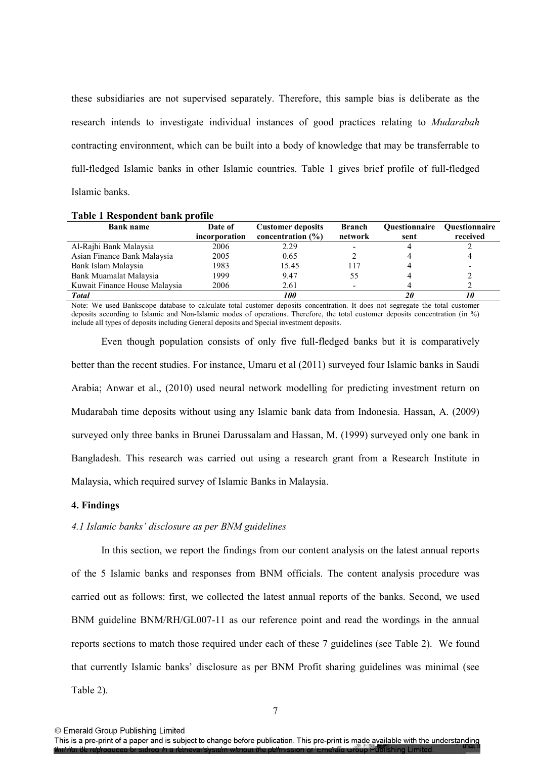these subsidiaries are not supervised separately. Therefore, this sample bias is deliberate as the research intends to investigate individual instances of good practices relating to *Mudarabah*  contracting environment, which can be built into a body of knowledge that may be transferrable to full-fledged Islamic banks in other Islamic countries. Table 1 gives brief profile of full-fledged Islamic banks.

| <b>Bank name</b>              | Date of<br>incorporation | <b>Customer deposits</b><br>concentration $(\% )$ | <b>Branch</b><br>network | <b>Ouestionnaire</b><br>sent | <b>Ouestionnaire</b><br>received |
|-------------------------------|--------------------------|---------------------------------------------------|--------------------------|------------------------------|----------------------------------|
| Al-Rajhi Bank Malaysia        | 2006                     | 2.29                                              | -                        |                              |                                  |
| Asian Finance Bank Malaysia   | 2005                     | 0.65                                              |                          |                              |                                  |
| Bank Islam Malaysia           | 1983                     | 15.45                                             | 117                      |                              |                                  |
| Bank Muamalat Malaysia        | 1999                     | 9.47                                              | 55                       |                              |                                  |
| Kuwait Finance House Malaysia | 2006                     | 2.61                                              | $\overline{\phantom{a}}$ |                              |                                  |
| <b>Total</b>                  |                          | <i>100</i>                                        |                          |                              | 10                               |

#### **Table 1 Respondent bank profile**

Note: We used Bankscope database to calculate total customer deposits concentration. It does not segregate the total customer deposits according to Islamic and Non-Islamic modes of operations. Therefore, the total customer deposits concentration (in %) include all types of deposits including General deposits and Special investment deposits.

Even though population consists of only five full-fledged banks but it is comparatively better than the recent studies. For instance, Umaru et al (2011) surveyed four Islamic banks in Saudi Arabia; Anwar et al., (2010) used neural network modelling for predicting investment return on Mudarabah time deposits without using any Islamic bank data from Indonesia. Hassan, A. (2009) surveyed only three banks in Brunei Darussalam and Hassan, M. (1999) surveyed only one bank in Bangladesh. This research was carried out using a research grant from a Research Institute in Malaysia, which required survey of Islamic Banks in Malaysia.

#### **4. Findings**

# *4.1 Islamic banks' disclosure as per BNM guidelines*

In this section, we report the findings from our content analysis on the latest annual reports of the 5 Islamic banks and responses from BNM officials. The content analysis procedure was carried out as follows: first, we collected the latest annual reports of the banks. Second, we used BNM guideline BNM/RH/GL007-11 as our reference point and read the wordings in the annual reports sections to match those required under each of these 7 guidelines (see Table 2). We found that currently Islamic banks' disclosure as per BNM Profit sharing guidelines was minimal (see

Table 2).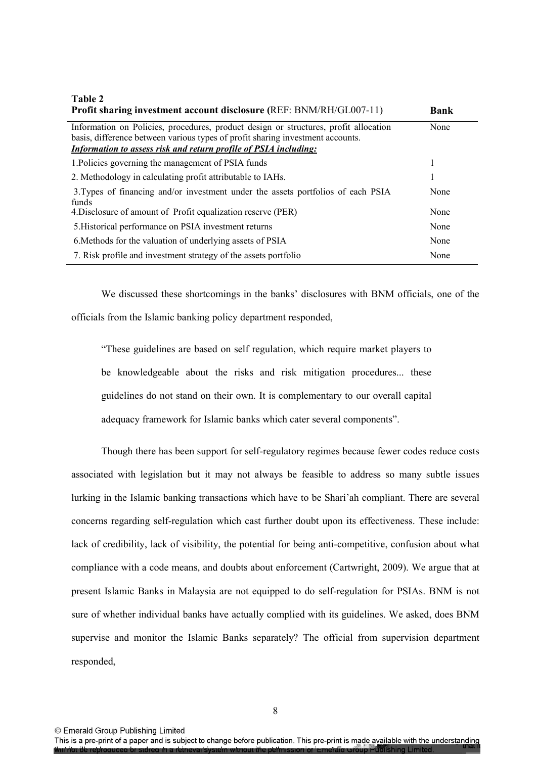**Table 2** 

| <b>Profit sharing investment account disclosure (REF: BNM/RH/GL007-11)</b>                                                                                                                                                                 | <b>Bank</b>  |
|--------------------------------------------------------------------------------------------------------------------------------------------------------------------------------------------------------------------------------------------|--------------|
| Information on Policies, procedures, product design or structures, profit allocation<br>basis, difference between various types of profit sharing investment accounts.<br>Information to assess risk and return profile of PSIA including: | None         |
| 1. Policies governing the management of PSIA funds                                                                                                                                                                                         |              |
| 2. Methodology in calculating profit attributable to IAHs.                                                                                                                                                                                 |              |
| 3. Types of financing and/or investment under the assets portfolios of each PSIA<br>funds                                                                                                                                                  | None<br>None |
| 4. Disclosure of amount of Profit equalization reserve (PER)<br>5. Historical performance on PSIA investment returns                                                                                                                       | None         |
| 6. Methods for the valuation of underlying assets of PSIA                                                                                                                                                                                  | None         |
| 7. Risk profile and investment strategy of the assets portfolio                                                                                                                                                                            | None         |
|                                                                                                                                                                                                                                            |              |

We discussed these shortcomings in the banks' disclosures with BNM officials, one of the officials from the Islamic banking policy department responded,

"These guidelines are based on self regulation, which require market players to be knowledgeable about the risks and risk mitigation procedures... these guidelines do not stand on their own. It is complementary to our overall capital adequacy framework for Islamic banks which cater several components".

Though there has been support for self-regulatory regimes because fewer codes reduce costs associated with legislation but it may not always be feasible to address so many subtle issues lurking in the Islamic banking transactions which have to be Shari'ah compliant. There are several concerns regarding self-regulation which cast further doubt upon its effectiveness. These include: lack of credibility, lack of visibility, the potential for being anti-competitive, confusion about what compliance with a code means, and doubts about enforcement (Cartwright, 2009). We argue that at present Islamic Banks in Malaysia are not equipped to do self-regulation for PSIAs. BNM is not sure of whether individual banks have actually complied with its guidelines. We asked, does BNM supervise and monitor the Islamic Banks separately? The official from supervision department responded,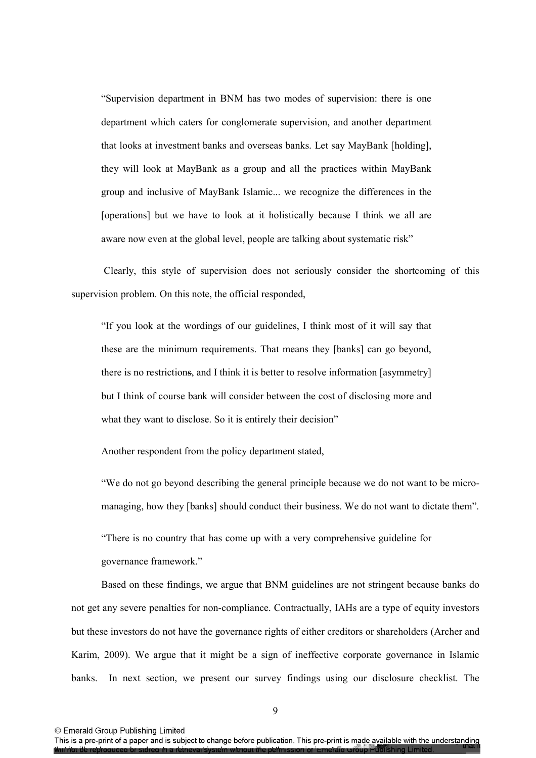"Supervision department in BNM has two modes of supervision: there is one department which caters for conglomerate supervision, and another department that looks at investment banks and overseas banks. Let say MayBank [holding], they will look at MayBank as a group and all the practices within MayBank group and inclusive of MayBank Islamic... we recognize the differences in the [operations] but we have to look at it holistically because I think we all are aware now even at the global level, people are talking about systematic risk"

 Clearly, this style of supervision does not seriously consider the shortcoming of this supervision problem. On this note, the official responded,

"If you look at the wordings of our guidelines, I think most of it will say that these are the minimum requirements. That means they [banks] can go beyond, there is no restrictions, and I think it is better to resolve information [asymmetry] but I think of course bank will consider between the cost of disclosing more and what they want to disclose. So it is entirely their decision"

Another respondent from the policy department stated,

"We do not go beyond describing the general principle because we do not want to be micromanaging, how they [banks] should conduct their business. We do not want to dictate them".

"There is no country that has come up with a very comprehensive guideline for governance framework."

Based on these findings, we argue that BNM guidelines are not stringent because banks do not get any severe penalties for non-compliance. Contractually, IAHs are a type of equity investors but these investors do not have the governance rights of either creditors or shareholders (Archer and Karim, 2009). We argue that it might be a sign of ineffective corporate governance in Islamic banks. In next section, we present our survey findings using our disclosure checklist. The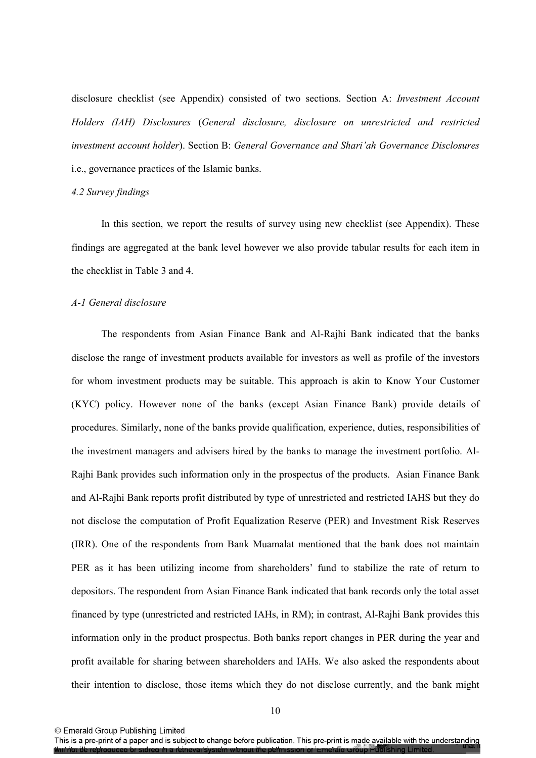disclosure checklist (see Appendix) consisted of two sections. Section A: *Investment Account Holders (IAH) Disclosures* (*General disclosure, disclosure on unrestricted and restricted investment account holder*). Section B: *General Governance and Shari'ah Governance Disclosures* i.e., governance practices of the Islamic banks.

# *4.2 Survey findings*

In this section, we report the results of survey using new checklist (see Appendix). These findings are aggregated at the bank level however we also provide tabular results for each item in the checklist in Table 3 and 4.

# *A-1 General disclosure*

The respondents from Asian Finance Bank and Al-Rajhi Bank indicated that the banks disclose the range of investment products available for investors as well as profile of the investors for whom investment products may be suitable. This approach is akin to Know Your Customer (KYC) policy. However none of the banks (except Asian Finance Bank) provide details of procedures. Similarly, none of the banks provide qualification, experience, duties, responsibilities of the investment managers and advisers hired by the banks to manage the investment portfolio. Al-Rajhi Bank provides such information only in the prospectus of the products. Asian Finance Bank and Al-Rajhi Bank reports profit distributed by type of unrestricted and restricted IAHS but they do not disclose the computation of Profit Equalization Reserve (PER) and Investment Risk Reserves (IRR). One of the respondents from Bank Muamalat mentioned that the bank does not maintain PER as it has been utilizing income from shareholders' fund to stabilize the rate of return to depositors. The respondent from Asian Finance Bank indicated that bank records only the total asset financed by type (unrestricted and restricted IAHs, in RM); in contrast, Al-Rajhi Bank provides this information only in the product prospectus. Both banks report changes in PER during the year and profit available for sharing between shareholders and IAHs. We also asked the respondents about their intention to disclose, those items which they do not disclose currently, and the bank might

This is a pre-print of a paper and is subject to change before publication. This pre-print is made available with the understanding mponisyaram winnan mphalamanan na mp smun Pilnlishing Limited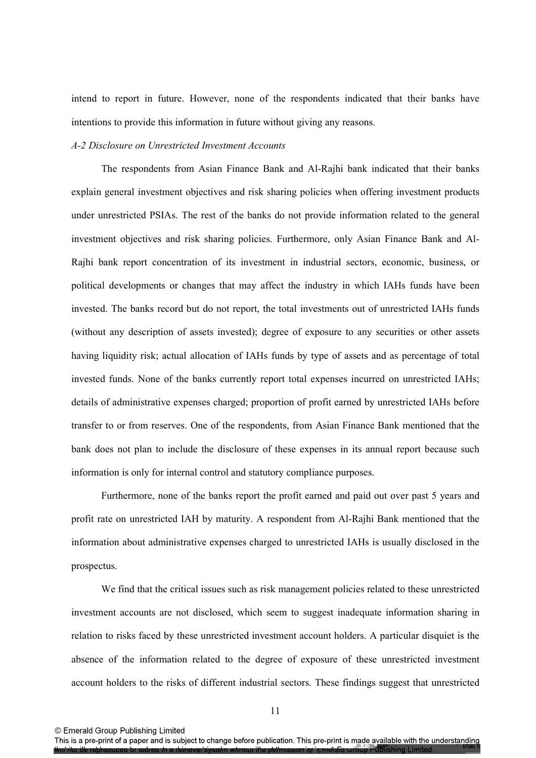intend to report in future. However, none of the respondents indicated that their banks have intentions to provide this information in future without giving any reasons.

# *A-2 Disclosure on Unrestricted Investment Accounts*

The respondents from Asian Finance Bank and Al-Rajhi bank indicated that their banks explain general investment objectives and risk sharing policies when offering investment products under unrestricted PSIAs. The rest of the banks do not provide information related to the general investment objectives and risk sharing policies. Furthermore, only Asian Finance Bank and Al-Rajhi bank report concentration of its investment in industrial sectors, economic, business, or political developments or changes that may affect the industry in which IAHs funds have been invested. The banks record but do not report, the total investments out of unrestricted IAHs funds (without any description of assets invested); degree of exposure to any securities or other assets having liquidity risk; actual allocation of IAHs funds by type of assets and as percentage of total invested funds. None of the banks currently report total expenses incurred on unrestricted IAHs; details of administrative expenses charged; proportion of profit earned by unrestricted IAHs before transfer to or from reserves. One of the respondents, from Asian Finance Bank mentioned that the bank does not plan to include the disclosure of these expenses in its annual report because such information is only for internal control and statutory compliance purposes.

Furthermore, none of the banks report the profit earned and paid out over past 5 years and profit rate on unrestricted IAH by maturity. A respondent from Al-Rajhi Bank mentioned that the information about administrative expenses charged to unrestricted IAHs is usually disclosed in the prospectus.

We find that the critical issues such as risk management policies related to these unrestricted investment accounts are not disclosed, which seem to suggest inadequate information sharing in relation to risks faced by these unrestricted investment account holders. A particular disquiet is the absence of the information related to the degree of exposure of these unrestricted investment account holders to the risks of different industrial sectors. These findings suggest that unrestricted

This is a pre-print of a paper and is subject to change before publication. This pre-print is made available with the understanding <u>meysakyatam winnau mamahmistanin a</u>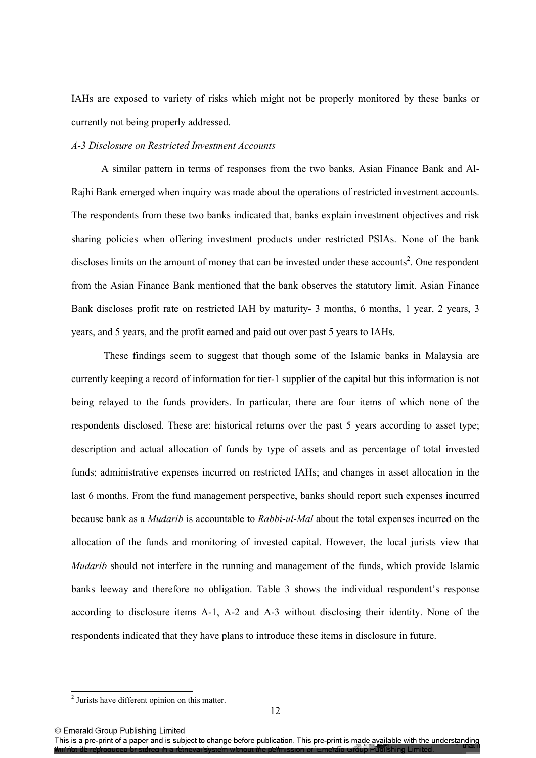IAHs are exposed to variety of risks which might not be properly monitored by these banks or currently not being properly addressed.

# *A-3 Disclosure on Restricted Investment Accounts*

A similar pattern in terms of responses from the two banks, Asian Finance Bank and Al-Rajhi Bank emerged when inquiry was made about the operations of restricted investment accounts. The respondents from these two banks indicated that, banks explain investment objectives and risk sharing policies when offering investment products under restricted PSIAs. None of the bank discloses limits on the amount of money that can be invested under these accounts<sup>2</sup>. One respondent from the Asian Finance Bank mentioned that the bank observes the statutory limit. Asian Finance Bank discloses profit rate on restricted IAH by maturity- 3 months, 6 months, 1 year, 2 years, 3 years, and 5 years, and the profit earned and paid out over past 5 years to IAHs.

 These findings seem to suggest that though some of the Islamic banks in Malaysia are currently keeping a record of information for tier-1 supplier of the capital but this information is not being relayed to the funds providers. In particular, there are four items of which none of the respondents disclosed. These are: historical returns over the past 5 years according to asset type; description and actual allocation of funds by type of assets and as percentage of total invested funds; administrative expenses incurred on restricted IAHs; and changes in asset allocation in the last 6 months. From the fund management perspective, banks should report such expenses incurred because bank as a *Mudarib* is accountable to *Rabbi-ul-Mal* about the total expenses incurred on the allocation of the funds and monitoring of invested capital. However, the local jurists view that *Mudarib* should not interfere in the running and management of the funds, which provide Islamic banks leeway and therefore no obligation. Table 3 shows the individual respondent's response according to disclosure items A-1, A-2 and A-3 without disclosing their identity. None of the respondents indicated that they have plans to introduce these items in disclosure in future.

 $\overline{a}$ 

This is a pre-print of a paper and is subject to change before publication. This pre-print is made available with the understanding

<sup>&</sup>lt;sup>2</sup> Jurists have different opinion on this matter.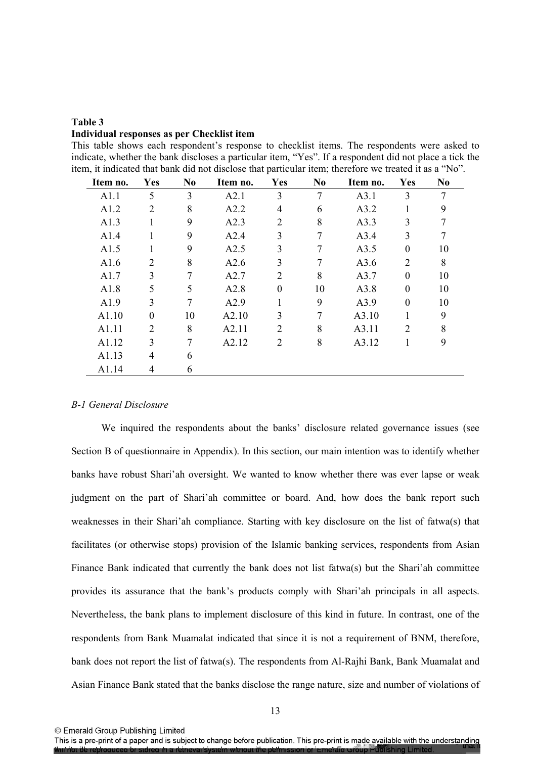# **Table 3 Individual responses as per Checklist item**

| Item no. | Yes            | N <sub>0</sub> | Item no. | Yes            | N <sub>0</sub> | Item no. | Yes            | N <sub>0</sub> |
|----------|----------------|----------------|----------|----------------|----------------|----------|----------------|----------------|
| A1.1     | 5              | 3              | A2.1     | 3              | 7              | A3.1     | 3              | 7              |
| A1.2     | 2              | 8              | A2.2     | 4              | 6              | A3.2     |                | 9              |
| A1.3     |                | 9              | A2.3     | $\overline{2}$ | 8              | A3.3     | 3              | 7              |
| A1.4     |                | 9              | A2.4     | 3              | $\tau$         | A3.4     | 3              | 7              |
| A1.5     |                | 9              | A2.5     | 3              | 7              | A3.5     | $\Omega$       | 10             |
| A1.6     | $\overline{2}$ | 8              | A2.6     | 3              | 7              | A3.6     | $\overline{2}$ | 8              |
| A1.7     | 3              | $\tau$         | A2.7     | $\overline{2}$ | 8              | A3.7     | $\theta$       | 10             |
| A1.8     | 5              | 5              | A2.8     | $\theta$       | 10             | A3.8     | $\Omega$       | 10             |
| A1.9     | 3              | 7              | A2.9     | 1              | 9              | A3.9     | $\Omega$       | 10             |
| A1.10    | $\theta$       | 10             | A2.10    | 3              | 7              | A3.10    |                | 9              |
| A1.11    | $\overline{2}$ | 8              | A2.11    | $\overline{2}$ | 8              | A3.11    | 2              | 8              |
| A1.12    | 3              | $\tau$         | A2.12    | $\overline{2}$ | 8              | A3.12    |                | 9              |
| A1.13    | 4              | 6              |          |                |                |          |                |                |
| A1.14    | 4              | 6              |          |                |                |          |                |                |

This table shows each respondent's response to checklist items. The respondents were asked to indicate, whether the bank discloses a particular item, "Yes". If a respondent did not place a tick the item, it indicated that bank did not disclose that particular item; therefore we treated it as a "No".

# *B-1 General Disclosure*

We inquired the respondents about the banks' disclosure related governance issues (see Section B of questionnaire in Appendix). In this section, our main intention was to identify whether banks have robust Shari'ah oversight. We wanted to know whether there was ever lapse or weak judgment on the part of Shari'ah committee or board. And, how does the bank report such weaknesses in their Shari'ah compliance. Starting with key disclosure on the list of fatwa(s) that facilitates (or otherwise stops) provision of the Islamic banking services, respondents from Asian Finance Bank indicated that currently the bank does not list fatwa(s) but the Shari'ah committee provides its assurance that the bank's products comply with Shari'ah principals in all aspects. Nevertheless, the bank plans to implement disclosure of this kind in future. In contrast, one of the respondents from Bank Muamalat indicated that since it is not a requirement of BNM, therefore, bank does not report the list of fatwa(s). The respondents from Al-Rajhi Bank, Bank Muamalat and Asian Finance Bank stated that the banks disclose the range nature, size and number of violations of

This is a pre-print of a paper and is subject to change before publication. This pre-print is made available with the understanding win'nor de reproduced or sidred in a remevar system witnout the permission or Emeraid Group Publishing Limited.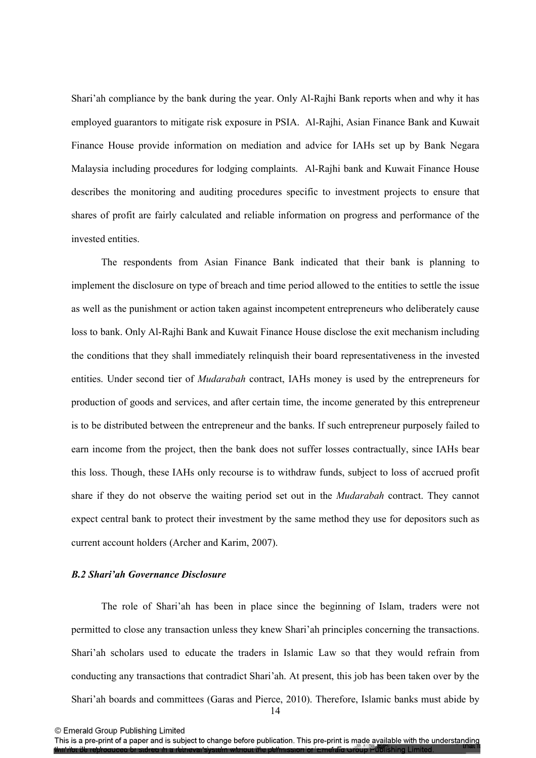Shari'ah compliance by the bank during the year. Only Al-Rajhi Bank reports when and why it has employed guarantors to mitigate risk exposure in PSIA. Al-Rajhi, Asian Finance Bank and Kuwait Finance House provide information on mediation and advice for IAHs set up by Bank Negara Malaysia including procedures for lodging complaints. Al-Rajhi bank and Kuwait Finance House describes the monitoring and auditing procedures specific to investment projects to ensure that shares of profit are fairly calculated and reliable information on progress and performance of the invested entities.

The respondents from Asian Finance Bank indicated that their bank is planning to implement the disclosure on type of breach and time period allowed to the entities to settle the issue as well as the punishment or action taken against incompetent entrepreneurs who deliberately cause loss to bank. Only Al-Rajhi Bank and Kuwait Finance House disclose the exit mechanism including the conditions that they shall immediately relinquish their board representativeness in the invested entities. Under second tier of *Mudarabah* contract, IAHs money is used by the entrepreneurs for production of goods and services, and after certain time, the income generated by this entrepreneur is to be distributed between the entrepreneur and the banks. If such entrepreneur purposely failed to earn income from the project, then the bank does not suffer losses contractually, since IAHs bear this loss. Though, these IAHs only recourse is to withdraw funds, subject to loss of accrued profit share if they do not observe the waiting period set out in the *Mudarabah* contract. They cannot expect central bank to protect their investment by the same method they use for depositors such as current account holders (Archer and Karim, 2007).

# *B.2 Shari'ah Governance Disclosure*

The role of Shari'ah has been in place since the beginning of Islam, traders were not permitted to close any transaction unless they knew Shari'ah principles concerning the transactions. Shari'ah scholars used to educate the traders in Islamic Law so that they would refrain from conducting any transactions that contradict Shari'ah. At present, this job has been taken over by the Shari'ah boards and committees (Garas and Pierce, 2010). Therefore, Islamic banks must abide by

This is a pre-print of a paper and is subject to change before publication. This pre-print is made available with the understanding un Publishing Limited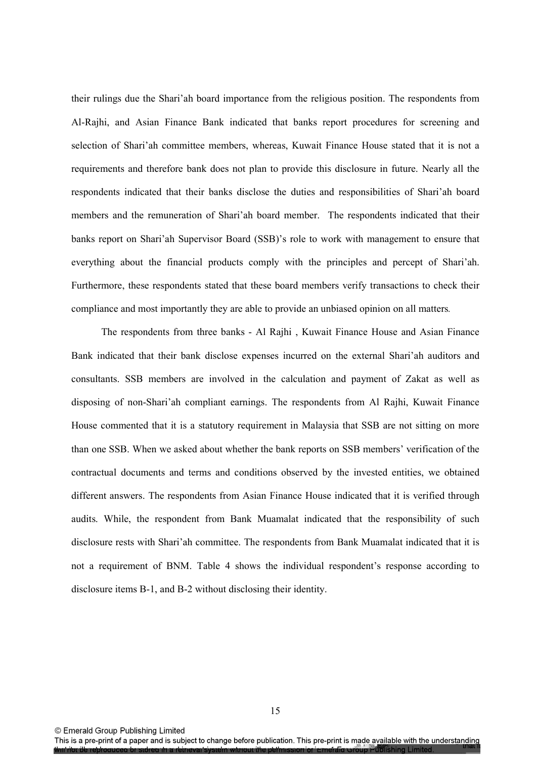their rulings due the Shari'ah board importance from the religious position. The respondents from Al-Rajhi, and Asian Finance Bank indicated that banks report procedures for screening and selection of Shari'ah committee members, whereas, Kuwait Finance House stated that it is not a requirements and therefore bank does not plan to provide this disclosure in future. Nearly all the respondents indicated that their banks disclose the duties and responsibilities of Shari'ah board members and the remuneration of Shari'ah board member. The respondents indicated that their banks report on Shari'ah Supervisor Board (SSB)'s role to work with management to ensure that everything about the financial products comply with the principles and percept of Shari'ah. Furthermore, these respondents stated that these board members verify transactions to check their compliance and most importantly they are able to provide an unbiased opinion on all matters*.* 

The respondents from three banks - Al Rajhi , Kuwait Finance House and Asian Finance Bank indicated that their bank disclose expenses incurred on the external Shari'ah auditors and consultants. SSB members are involved in the calculation and payment of Zakat as well as disposing of non-Shari'ah compliant earnings. The respondents from Al Rajhi, Kuwait Finance House commented that it is a statutory requirement in Malaysia that SSB are not sitting on more than one SSB. When we asked about whether the bank reports on SSB members' verification of the contractual documents and terms and conditions observed by the invested entities, we obtained different answers. The respondents from Asian Finance House indicated that it is verified through audits. While, the respondent from Bank Muamalat indicated that the responsibility of such disclosure rests with Shari'ah committee. The respondents from Bank Muamalat indicated that it is not a requirement of BNM. Table 4 shows the individual respondent's response according to disclosure items B-1, and B-2 without disclosing their identity.

© Emerald Group Publishing Limited

This is a pre-print of a paper and is subject to change before publication. This pre-print is made available with the understanding wasan wanna umumin ambin wasan inishing Limited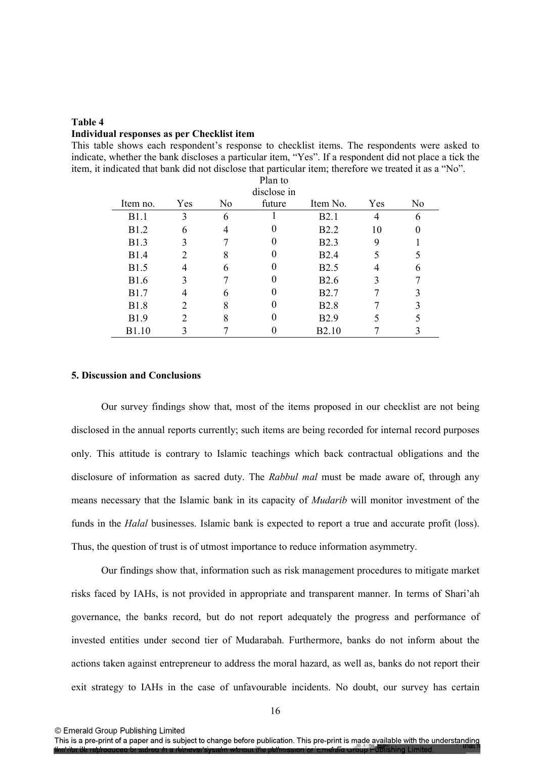# **Table 4 Individual responses as per Checklist item**

This table shows each respondent's response to checklist items. The respondents were asked to indicate, whether the bank discloses a particular item, "Yes". If a respondent did not place a tick the item, it indicated that bank did not disclose that particular item; therefore we treated it as a "No". Plan to

|             |     |                | disclose in |                   |     |    |
|-------------|-----|----------------|-------------|-------------------|-----|----|
| Item no.    | Yes | N <sub>0</sub> | future      | Item No.          | Yes | No |
| B1.1        | 3   | 6              |             | B2.1              | 4   | 6  |
| <b>B1.2</b> | 6   |                |             | <b>B2.2</b>       | 10  |    |
| <b>B1.3</b> |     |                |             | <b>B2.3</b>       | 9   |    |
| <b>B1.4</b> | ∍   | 8              |             | <b>B2.4</b>       |     |    |
| <b>B1.5</b> |     | 6              |             | <b>B2.5</b>       |     |    |
| <b>B1.6</b> |     |                |             | <b>B2.6</b>       |     |    |
| B1.7        |     | 6              |             | <b>B2.7</b>       |     |    |
| <b>B1.8</b> | ∍   | 8              |             | <b>B2.8</b>       |     |    |
| <b>B1.9</b> |     | 8              |             | <b>B2.9</b>       |     |    |
| B1.10       |     |                |             | B <sub>2.10</sub> |     |    |

# **5. Discussion and Conclusions**

Our survey findings show that, most of the items proposed in our checklist are not being disclosed in the annual reports currently; such items are being recorded for internal record purposes only. This attitude is contrary to Islamic teachings which back contractual obligations and the disclosure of information as sacred duty. The *Rabbul mal* must be made aware of, through any means necessary that the Islamic bank in its capacity of *Mudarib* will monitor investment of the funds in the *Halal* businesses. Islamic bank is expected to report a true and accurate profit (loss). Thus, the question of trust is of utmost importance to reduce information asymmetry.

Our findings show that, information such as risk management procedures to mitigate market risks faced by IAHs, is not provided in appropriate and transparent manner. In terms of Shari'ah governance, the banks record, but do not report adequately the progress and performance of invested entities under second tier of Mudarabah. Furthermore, banks do not inform about the actions taken against entrepreneur to address the moral hazard, as well as, banks do not report their exit strategy to IAHs in the case of unfavourable incidents. No doubt, our survey has certain

This is a pre-print of a paper and is subject to change before publication. This pre-print is made available with the understanding win'nor de reproduced or sidred in a remevar system witnout the permission or Emeraid Group Publishing Limited.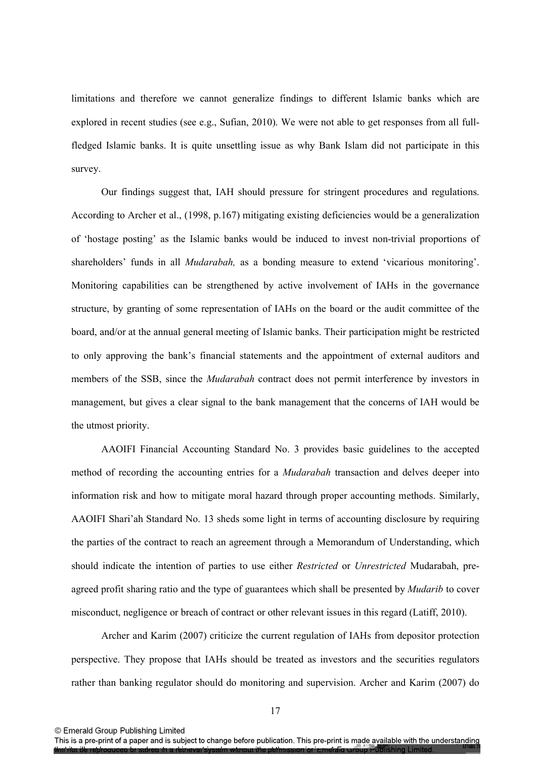limitations and therefore we cannot generalize findings to different Islamic banks which are explored in recent studies (see e.g., Sufian, 2010). We were not able to get responses from all fullfledged Islamic banks. It is quite unsettling issue as why Bank Islam did not participate in this survey.

Our findings suggest that, IAH should pressure for stringent procedures and regulations. According to Archer et al., (1998, p.167) mitigating existing deficiencies would be a generalization of 'hostage posting' as the Islamic banks would be induced to invest non-trivial proportions of shareholders' funds in all *Mudarabah,* as a bonding measure to extend 'vicarious monitoring'. Monitoring capabilities can be strengthened by active involvement of IAHs in the governance structure, by granting of some representation of IAHs on the board or the audit committee of the board, and/or at the annual general meeting of Islamic banks. Their participation might be restricted to only approving the bank's financial statements and the appointment of external auditors and members of the SSB, since the *Mudarabah* contract does not permit interference by investors in management, but gives a clear signal to the bank management that the concerns of IAH would be the utmost priority.

AAOIFI Financial Accounting Standard No. 3 provides basic guidelines to the accepted method of recording the accounting entries for a *Mudarabah* transaction and delves deeper into information risk and how to mitigate moral hazard through proper accounting methods. Similarly, AAOIFI Shari'ah Standard No. 13 sheds some light in terms of accounting disclosure by requiring the parties of the contract to reach an agreement through a Memorandum of Understanding, which should indicate the intention of parties to use either *Restricted* or *Unrestricted* Mudarabah, preagreed profit sharing ratio and the type of guarantees which shall be presented by *Mudarib* to cover misconduct, negligence or breach of contract or other relevant issues in this regard (Latiff, 2010).

Archer and Karim (2007) criticize the current regulation of IAHs from depositor protection perspective. They propose that IAHs should be treated as investors and the securities regulators rather than banking regulator should do monitoring and supervision. Archer and Karim (2007) do

This is a pre-print of a paper and is subject to change before publication. This pre-print is made available with the understanding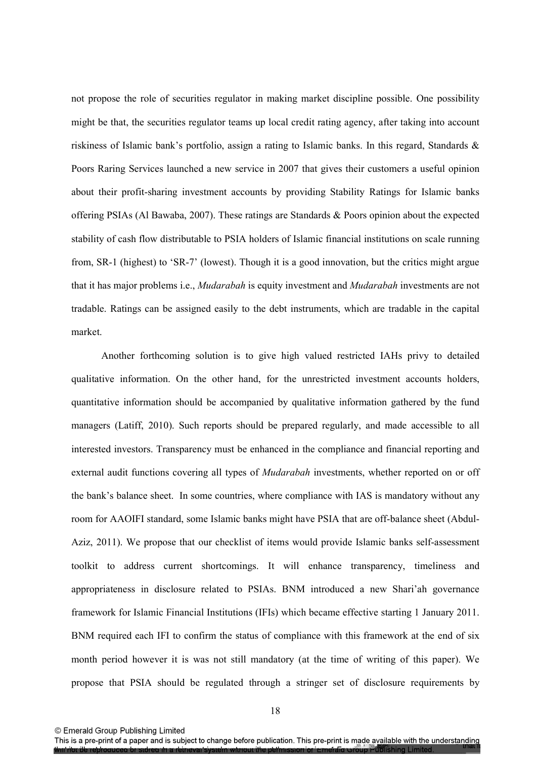not propose the role of securities regulator in making market discipline possible. One possibility might be that, the securities regulator teams up local credit rating agency, after taking into account riskiness of Islamic bank's portfolio, assign a rating to Islamic banks. In this regard, Standards & Poors Raring Services launched a new service in 2007 that gives their customers a useful opinion about their profit-sharing investment accounts by providing Stability Ratings for Islamic banks offering PSIAs (Al Bawaba, 2007). These ratings are Standards & Poors opinion about the expected stability of cash flow distributable to PSIA holders of Islamic financial institutions on scale running from, SR-1 (highest) to 'SR-7' (lowest). Though it is a good innovation, but the critics might argue that it has major problems i.e., *Mudarabah* is equity investment and *Mudarabah* investments are not tradable. Ratings can be assigned easily to the debt instruments, which are tradable in the capital market.

Another forthcoming solution is to give high valued restricted IAHs privy to detailed qualitative information. On the other hand, for the unrestricted investment accounts holders, quantitative information should be accompanied by qualitative information gathered by the fund managers (Latiff, 2010). Such reports should be prepared regularly, and made accessible to all interested investors. Transparency must be enhanced in the compliance and financial reporting and external audit functions covering all types of *Mudarabah* investments, whether reported on or off the bank's balance sheet. In some countries, where compliance with IAS is mandatory without any room for AAOIFI standard, some Islamic banks might have PSIA that are off-balance sheet (Abdul-Aziz, 2011). We propose that our checklist of items would provide Islamic banks self-assessment toolkit to address current shortcomings. It will enhance transparency, timeliness and appropriateness in disclosure related to PSIAs. BNM introduced a new Shari'ah governance framework for Islamic Financial Institutions (IFIs) which became effective starting 1 January 2011. BNM required each IFI to confirm the status of compliance with this framework at the end of six month period however it is was not still mandatory (at the time of writing of this paper). We propose that PSIA should be regulated through a stringer set of disclosure requirements by

This is a pre-print of a paper and is subject to change before publication. This pre-print is made available with the understanding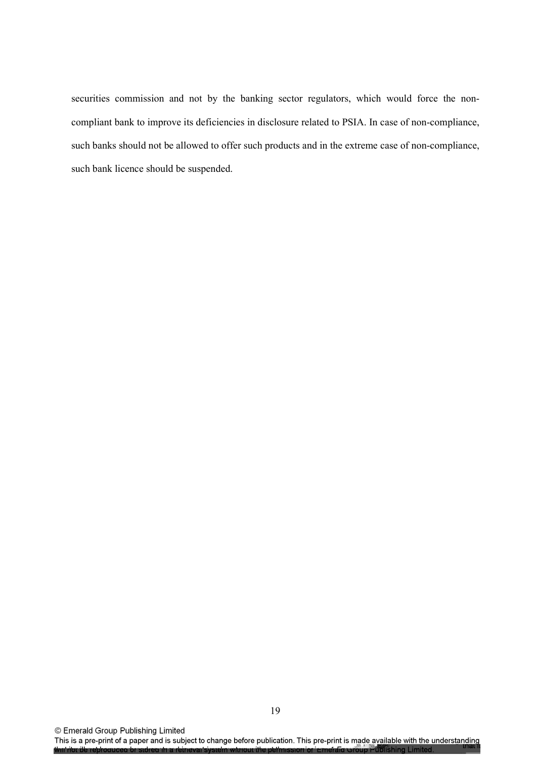securities commission and not by the banking sector regulators, which would force the noncompliant bank to improve its deficiencies in disclosure related to PSIA. In case of non-compliance, such banks should not be allowed to offer such products and in the extreme case of non-compliance, such bank licence should be suspended.

© Emerald Group Publishing Limited

This is a pre-print of a paper and is subject to change before publication. This pre-print is made available with the understanding win nor de reproduced or sidred in a retrieval system without the permission or Emeratic Group Publishing Limited.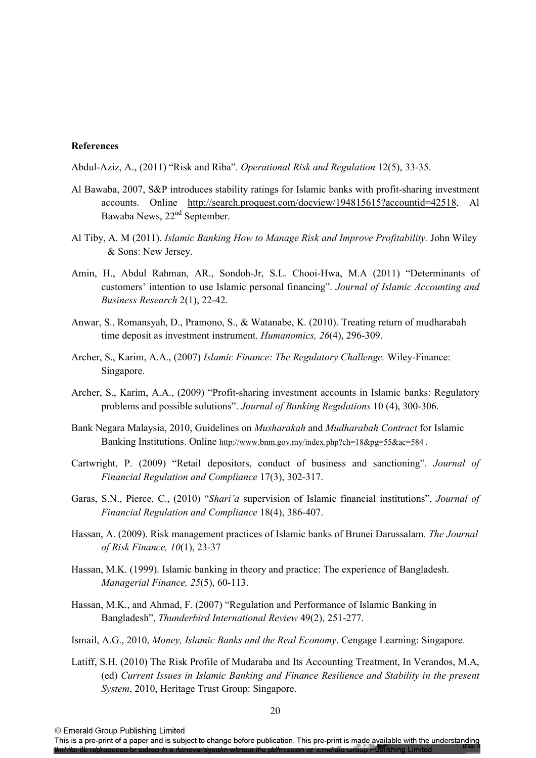# **References**

Abdul-Aziz, A., (2011) "Risk and Riba". *Operational Risk and Regulation* 12(5), 33-35.

- Al Bawaba, 2007, S&P introduces stability ratings for Islamic banks with profit-sharing investment accounts. Online http://search.proquest.com/docview/194815615?accountid=42518, Al Bawaba News, 22nd September.
- Al Tiby, A. M (2011). *Islamic Banking How to Manage Risk and Improve Profitability.* John Wiley & Sons: New Jersey.
- Amin, H., Abdul Rahman, AR., Sondoh-Jr, S.L. Chooi-Hwa, M.A (2011) "Determinants of customers' intention to use Islamic personal financing". *Journal of Islamic Accounting and Business Research* 2(1), 22-42.
- Anwar, S., Romansyah, D., Pramono, S., & Watanabe, K. (2010). Treating return of mudharabah time deposit as investment instrument. *Humanomics, 26*(4), 296-309.
- Archer, S., Karim, A.A., (2007) *Islamic Finance: The Regulatory Challenge.* Wiley-Finance: Singapore.
- Archer, S., Karim, A.A., (2009) "Profit-sharing investment accounts in Islamic banks: Regulatory problems and possible solutions". *Journal of Banking Regulations* 10 (4), 300-306.
- Bank Negara Malaysia, 2010, Guidelines on *Musharakah* and *Mudharabah Contract* for Islamic Banking Institutions. Online http://www.bnm.gov.my/index.php?ch=18&pg=55&ac=584 .
- Cartwright, P. (2009) "Retail depositors, conduct of business and sanctioning". *Journal of Financial Regulation and Compliance* 17(3), 302-317.
- Garas, S.N., Pierce, C., (2010) "*Shari'a* supervision of Islamic financial institutions", *Journal of Financial Regulation and Compliance* 18(4), 386-407.
- Hassan, A. (2009). Risk management practices of Islamic banks of Brunei Darussalam. *The Journal of Risk Finance, 10*(1), 23-37
- Hassan, M.K. (1999). Islamic banking in theory and practice: The experience of Bangladesh. *Managerial Finance, 25*(5), 60-113.
- Hassan, M.K., and Ahmad, F. (2007) "Regulation and Performance of Islamic Banking in Bangladesh", *Thunderbird International Review* 49(2), 251-277.
- Ismail, A.G., 2010, *Money, Islamic Banks and the Real Economy*. Cengage Learning: Singapore.
- Latiff, S.H. (2010) The Risk Profile of Mudaraba and Its Accounting Treatment, In Verandos, M.A, (ed) *Current Issues in Islamic Banking and Finance Resilience and Stability in the present System*, 2010, Heritage Trust Group: Singapore.

<sup>©</sup> Emerald Group Publishing Limited This is a pre-print of a paper and is subject to change before publication. This pre-print is made available with the understanding win nor de reproduced or stored in a retrieval system without the permission or Emeraid Group Publishing Limited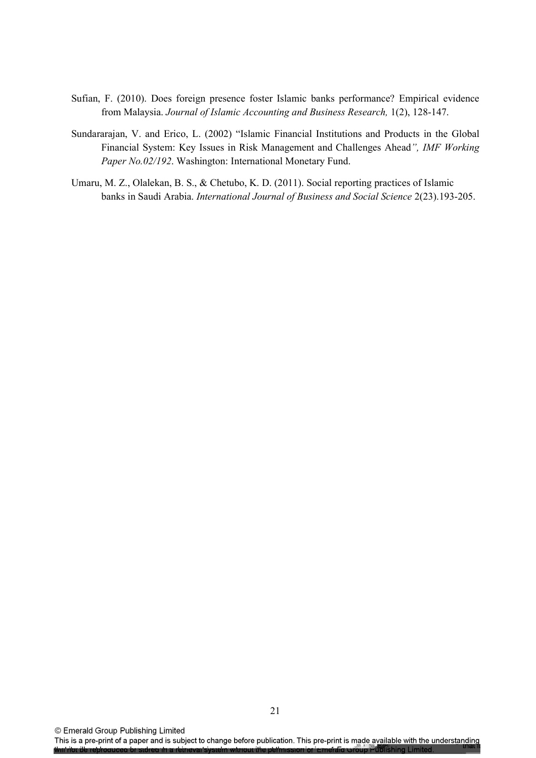- Sufian, F. (2010). Does foreign presence foster Islamic banks performance? Empirical evidence from Malaysia. *Journal of Islamic Accounting and Business Research,* 1(2), 128-147.
- Sundararajan, V. and Erico, L. (2002) "Islamic Financial Institutions and Products in the Global Financial System: Key Issues in Risk Management and Challenges Ahead*", IMF Working Paper No.02/192*. Washington: International Monetary Fund.
- Umaru, M. Z., Olalekan, B. S., & Chetubo, K. D. (2011). Social reporting practices of Islamic banks in Saudi Arabia. *International Journal of Business and Social Science* 2(23).193-205.

© Emerald Group Publishing Limited

This is a pre-print of a paper and is subject to change before publication. This pre-print is made available with the understanding win'nor de reproduced or sidred in a retrieval system without the permission or Emeraid Group Publishing Limited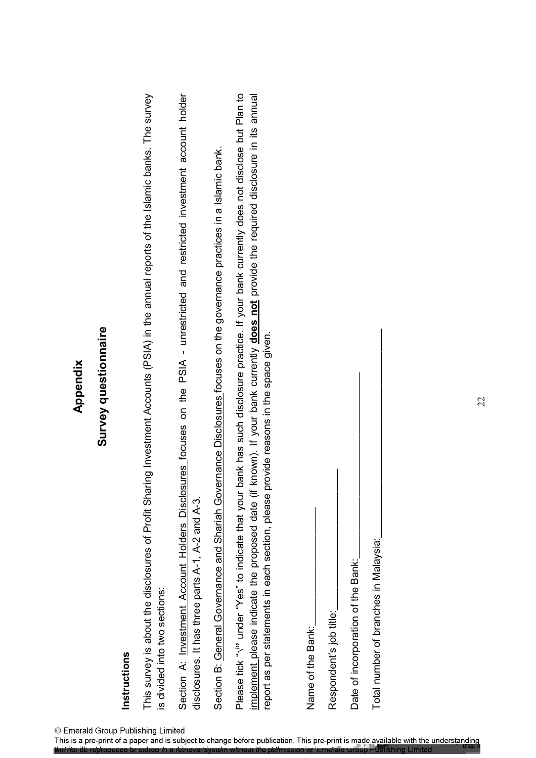| ĵ |  |
|---|--|
|   |  |
|   |  |
|   |  |
|   |  |
|   |  |
|   |  |

# **Survey questionnaire**  Survey questionnaire

**Instructions**  Instructions

This survey is about the disclosures of Profit Sharing Investment Accounts (PSIA) in the annual reports of the Islamic banks. The survey This survey is about the disclosures of Profit Sharing Investment Accounts (PSIA) in the annual reports of the Islamic banks. The survey is divided into two sections: s divided into two sections:

Section A: Investment Account Holders Disclosures focuses on the PSIA - unrestricted and restricted investment account holder Section A: Investment Account Holders Disclosures focuses on the PSIA - unrestricted and restricted investment account holder disclosures. It has three parts A-1, A-2 and A-3. disclosures. It has three parts A-1, A-2 and A-3.

Section B: General Governance and Shariah Governance Disclosures focuses on the governance practices in a Islamic bank. Section B: General Governance and Shariah Governance Disclosures focuses on the governance practices in a Islamic bank.

Please tick "√" under "Yes" to indicate that your bank has such disclosure practice. If your bank currently does not disclose but Plan to implement please indicate the proposed date (if known). If your bank currently **does not** provide the required disclosure in its annual Please tick " $\sqrt{n}$  under "Yes" to indicate that your bank has such disclosure practice. If your bank currently does not disclose but Plan to mplement please indicate the proposed date (if known). If your bank currently does not provide the required disclosure in its annual report as per statements in each section, please provide reasons in the space given. report as per statements in each section, please provide reasons in the space given.

Name of the Bank:\_\_\_\_\_\_\_\_\_\_\_\_\_\_\_\_\_\_\_\_\_ Name of the Bank:

Respondent's job title:\_\_\_\_\_\_\_\_\_\_\_\_\_\_\_\_\_\_\_\_\_\_\_\_\_ Respondent's job title:

Date of incorporation of the Bank: **Example 20** Date of incorporation of the Bank:

Total number of branches in Malaysia:\_\_\_\_\_\_\_\_\_\_\_\_\_\_\_\_\_\_\_\_\_\_\_\_\_\_\_\_\_\_\_\_\_\_\_\_\_ Total number of branches in Malaysia: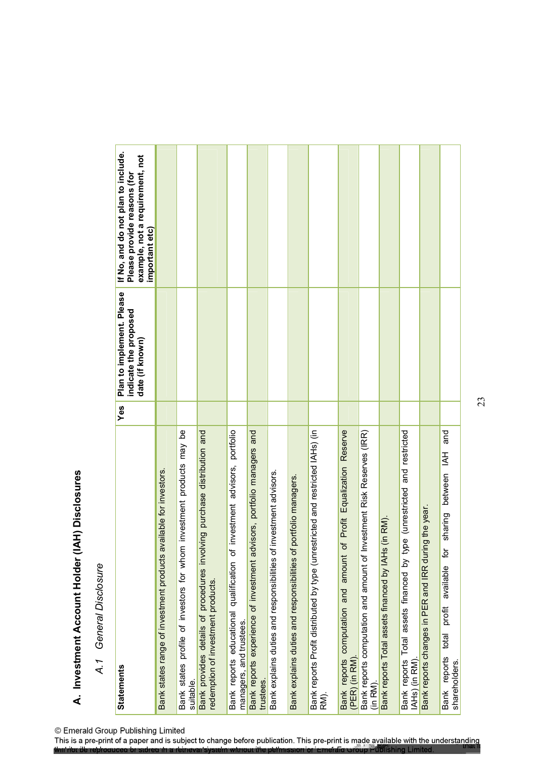A. Investment Account Holder (IAH) Disclosures **A. Investment Account Holder (IAH) Disclosures** 

A.1 General Disclosure *A.1 General Disclosure* 

| <b>Statements</b>                                                                                             | Yes | Plan to implement. Please<br>indicate the proposed<br>date (if known) | If No, and do not plan to include.<br>example, not a requirement, not<br>Please provide reasons (for<br>important etc) |
|---------------------------------------------------------------------------------------------------------------|-----|-----------------------------------------------------------------------|------------------------------------------------------------------------------------------------------------------------|
| Bank states range of investment products available for investors.                                             |     |                                                                       |                                                                                                                        |
| investment products may be<br>Bank states profile of investors for whom<br>suitable.                          |     |                                                                       |                                                                                                                        |
| Bank provides details of procedures involving purchase distribution and<br>redemption of investment products. |     |                                                                       |                                                                                                                        |
| investment advisors, portfolio<br>Bank reports educational qualification of<br>managers, and trustees.        |     |                                                                       |                                                                                                                        |
| Bank reports experience of investment advisors, portfolio managers and<br>trustees.                           |     |                                                                       |                                                                                                                        |
| investment advisors.<br>Bank explains duties and responsibilities of                                          |     |                                                                       |                                                                                                                        |
| portfolio managers.<br>Bank explains duties and responsibilities of                                           |     |                                                                       |                                                                                                                        |
| Bank reports Profit distributed by type (unrestricted and restricted IAHs) (in<br>RM).                        |     |                                                                       |                                                                                                                        |
| Bank reports computation and amount of Profit Equalization Reserve<br>(PER) (in RM)                           |     |                                                                       |                                                                                                                        |
| Bank reports computation and amount of Investment Risk Reserves (IRR)<br>(in RM).                             |     |                                                                       |                                                                                                                        |
| $(in RM)$ .<br>Bank reports Total assets financed by IAHs                                                     |     |                                                                       |                                                                                                                        |
| Bank reports Total assets financed by type (unrestricted and restricted<br>IAHS) (in RM)                      |     |                                                                       |                                                                                                                        |
| ig the year.<br>Bank reports changes in PER and IRR durin                                                     |     |                                                                       |                                                                                                                        |
| sharing between IAH and<br>ğ<br>available<br>profit<br>total<br>reports<br>shareholders.<br><b>Bank</b>       |     |                                                                       |                                                                                                                        |

© Emerald Group Publishing Limited

This is a pre-print of a paper and is subject to change before publication. This pre-print is made available with the understanding<br>Wur not de reproduced br sidred in a retrieval system without the permission or Emerald Gr

23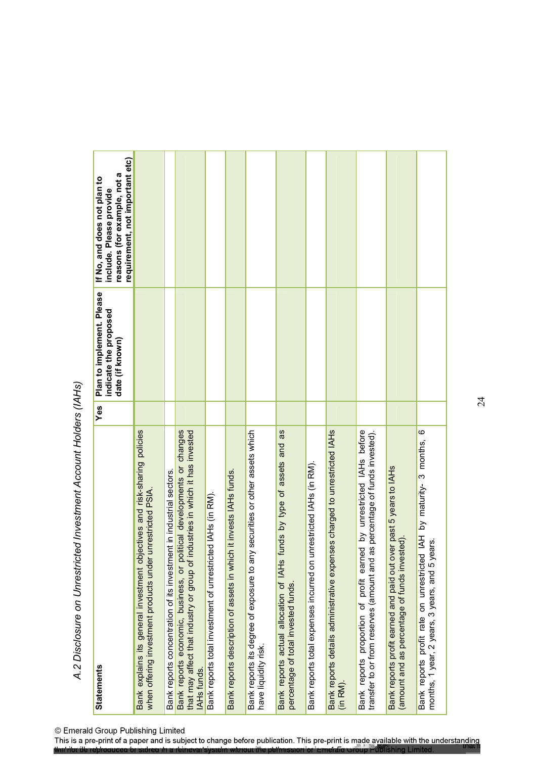| <b>Statements</b>                                                                                                                                                                  | Yes | Plan to implement. Please<br>indicate the proposed<br>date (if known) | requirement, not important etc)<br>reasons (for example, not a<br>If No, and does not plan to<br>include. Please provide |
|------------------------------------------------------------------------------------------------------------------------------------------------------------------------------------|-----|-----------------------------------------------------------------------|--------------------------------------------------------------------------------------------------------------------------|
| jectives and risk-sharing policies<br>unrestricted PSIA.<br>Bank explains its general investment obj<br>when offering investment products under                                    |     |                                                                       |                                                                                                                          |
| Bank reports concentration of its investment in industrial sectors.                                                                                                                |     |                                                                       |                                                                                                                          |
| Bank reports economic, business, or political developments or changes<br>that may affect that industry or group of industries in which it has invested<br>IAH <sub>s funds</sub> . |     |                                                                       |                                                                                                                          |
| Bank reports total investment of unrestricted IAHs (in RM).                                                                                                                        |     |                                                                       |                                                                                                                          |
| Bank reports description of assets in which it invests IAHs funds.                                                                                                                 |     |                                                                       |                                                                                                                          |
| Bank reports its degree of exposure to any securities or other assets which<br>have liquidity risk.                                                                                |     |                                                                       |                                                                                                                          |
| as<br>funds by type of assets and<br>Bank reports actual allocation of IAHs<br>percentage of total invested funds.                                                                 |     |                                                                       |                                                                                                                          |
| Bank reports total expenses incurred on unrestricted IAHs (in RM).                                                                                                                 |     |                                                                       |                                                                                                                          |
| Bank reports details administrative expenses charged to unrestricted IAHs<br>(in RM).                                                                                              |     |                                                                       |                                                                                                                          |
| Bank reports proportion of profit earned by unrestricted IAHs before<br>transfer to or from reserves (amount and as percentage of funds invested).                                 |     |                                                                       |                                                                                                                          |
| Bank reports profit earned and paid out over past 5 years to IAHs<br>(amount and as percentage of funds invested).                                                                 |     |                                                                       |                                                                                                                          |
| IAH by maturity- 3 months, 6<br>months, 1 year, 2 years, 3 years, and 5 years.<br>Bank reports profit rate on unrestricted                                                         |     |                                                                       |                                                                                                                          |

A.2 Disclosure on Unrestricted Investment Account Holders (IAHs) *A.2 Disclosure on Unrestricted Investment Account Holders (IAHs)* 

© Emerald Group Publishing Limited

This is a pre-print of a paper and is subject to change before publication. This pre-print is made available with the understanding<br>Wut not de reproduced brisidred in a retrieval system without the permission or Emerald Gr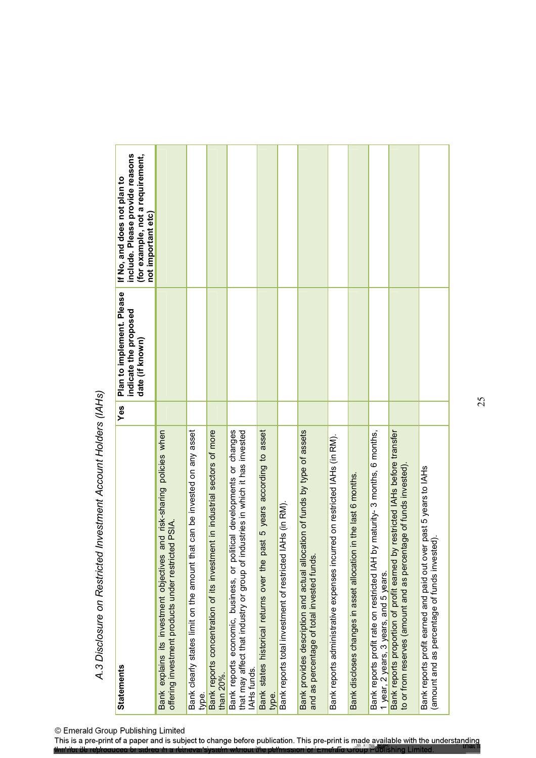| i                                                                                                              |
|----------------------------------------------------------------------------------------------------------------|
|                                                                                                                |
| l                                                                                                              |
| י<br>ה<br>Ĩ<br>֦֧<br>$\frac{1}{2}$<br>.<br>.<br>.                                                              |
| and the state of the state of the state of the state of the state of the state of the state of the state of th |

| <b>Statements</b>                                                                                                                                                     | Yes | Plan to implement. Please<br>indicate the proposed<br>date (if known) | include. Please provide reasons<br>(for example, not a requirement,<br>If No, and does not plan to<br>not important etc) |
|-----------------------------------------------------------------------------------------------------------------------------------------------------------------------|-----|-----------------------------------------------------------------------|--------------------------------------------------------------------------------------------------------------------------|
| Bank explains its investment objectives and risk-sharing policies when<br>offering investment products under restricted PSIA.                                         |     |                                                                       |                                                                                                                          |
| can be invested on any asset<br>Bank clearly states limit on the amount that<br>type.                                                                                 |     |                                                                       |                                                                                                                          |
| Bank reports concentration of its investment in industrial sectors of more<br>than $20\%$ .                                                                           |     |                                                                       |                                                                                                                          |
| Bank reports economic, business, or political developments or changes<br>that may affect that industry or group of industries in which it has invested<br>IAHs funds. |     |                                                                       |                                                                                                                          |
| Bank states historical returns over the past 5 years according to asset<br>tvpe.                                                                                      |     |                                                                       |                                                                                                                          |
| Bank reports total investment of restricted IAHs (in RM).                                                                                                             |     |                                                                       |                                                                                                                          |
| Bank provides description and actual allocation of funds by type of assets<br>and as percentage of total invested funds.                                              |     |                                                                       |                                                                                                                          |
| ed on restricted IAHs (in RM).<br>Bank reports administrative expenses incurr                                                                                         |     |                                                                       |                                                                                                                          |
| Bank discloses changes in asset allocation in the last 6 months.                                                                                                      |     |                                                                       |                                                                                                                          |
| maturity- 3 months, 6 months,<br>Bank reports profit rate on restricted IAH by<br>1 year, 2 years, 3 years, and 5 years.                                              |     |                                                                       |                                                                                                                          |
| restricted IAHs before transfer<br>to or from reserves (amount and as percentage of funds invested).<br>Bank reports proportion of profit earned by                   |     |                                                                       |                                                                                                                          |
| (amount and as percentage of funds invested).<br>(amount and as percentage of funds invested).                                                                        |     |                                                                       |                                                                                                                          |

© Emerald Group Publishing Limited<br>This is a pre-print of a paper and is subject to change before publication. This pre-print is made available with the understanding<br>Win'rior de reproduced br sidred in a remevarisystem wi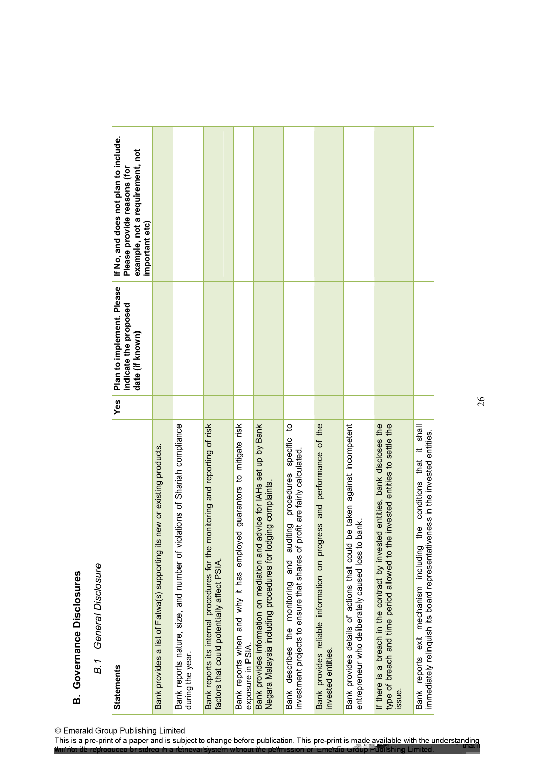| J<br>\$ |  |
|---------|--|
|         |  |
| J       |  |
|         |  |

General Disclosure *B.1 General Disclosure*  **B.1** 

| <b>Statements</b>                                                                                                                                                          | Yes | Plan to implement. Please<br>indicate the proposed<br>date (if known) | If No, and does not plan to include.<br>example, not a requirement, not<br>Please provide reasons (for<br>important etc) |
|----------------------------------------------------------------------------------------------------------------------------------------------------------------------------|-----|-----------------------------------------------------------------------|--------------------------------------------------------------------------------------------------------------------------|
| Bank provides a list of Fatwa(s) supporting its new or existing products.                                                                                                  |     |                                                                       |                                                                                                                          |
| Bank reports nature, size, and number of violations of Shariah compliance<br>during the year.                                                                              |     |                                                                       |                                                                                                                          |
| Bank reports its internal procedures for the monitoring and reporting of risk<br>factors that could potentially affect PSIA.                                               |     |                                                                       |                                                                                                                          |
| guarantors to mitigate risk<br>Bank reports when and why it has employed<br>exposure in PSIA.                                                                              |     |                                                                       |                                                                                                                          |
| Bank provides information on mediation and advice for IAHs set up by Bank<br>Negara Malaysia including procedures for lodging complaints.                                  |     |                                                                       |                                                                                                                          |
| specific to<br>Bank describes the monitoring and auditing procedures specinivestment projects to ensure that shares of profit are fairly calculated.                       |     |                                                                       |                                                                                                                          |
| Bank provides reliable information on progress and performance of the<br>invested entities                                                                                 |     |                                                                       |                                                                                                                          |
| Bank provides details of actions that could be taken against incompetent<br>entrepreneur who deliberately caused loss to bank.                                             |     |                                                                       |                                                                                                                          |
| entities, bank discloses the<br>type of breach and time period allowed to the invested entities to settle the<br>If there is a breach in the contract by invested<br>ssue. |     |                                                                       |                                                                                                                          |
| shall<br>immediately relinquish its board representativeness in the invested entities.<br>⊭<br>conditions that<br>Bank reports exit mechanism including the                |     |                                                                       |                                                                                                                          |

© Emerald Group Publishing Limited<br>This is a pre-print of a paper and is subject to change before publication. This pre-print is made available with the understanding<br>Win'rior de reproduced br sidred in a retrieval system

26